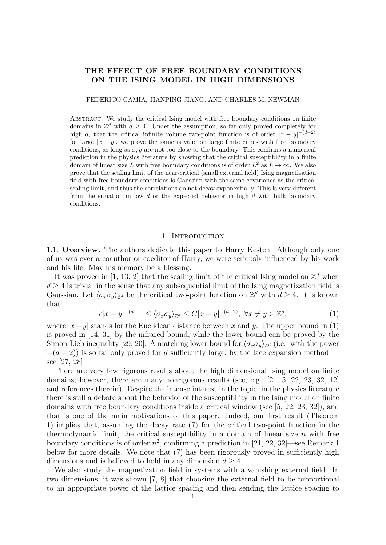# THE EFFECT OF FREE BOUNDARY CONDITIONS ON THE ISING MODEL IN HIGH DIMENSIONS

#### FEDERICO CAMIA, JIANPING JIANG, AND CHARLES M. NEWMAN

ABSTRACT. We study the critical Ising model with free boundary conditions on finite domains in  $\mathbb{Z}^d$  with  $d \geq 4$ . Under the assumption, so far only proved completely for high d, that the critical infinite volume two-point function is of order  $|x-y|^{-(d-2)}$ for large  $|x - y|$ , we prove the same is valid on large finite cubes with free boundary conditions, as long as  $x, y$  are not too close to the boundary. This confirms a numerical prediction in the physics literature by showing that the critical susceptibility in a finite domain of linear size L with free boundary conditions is of order  $L^2$  as  $L \to \infty$ . We also prove that the scaling limit of the near-critical (small external field) Ising magnetization field with free boundary conditions is Gaussian with the same covariance as the critical scaling limit, and thus the correlations do not decay exponentially. This is very different from the situation in low d or the expected behavior in high d with bulk boundary conditions.

#### 1. INTRODUCTION

1.1. Overview. The authors dedicate this paper to Harry Kesten. Although only one of us was ever a coauthor or coeditor of Harry, we were seriously influenced by his work and his life. May his memory be a blessing.

It was proved in [1, 13, 2] that the scaling limit of the critical Ising model on  $\mathbb{Z}^d$  when  $d \geq 4$  is trivial in the sense that any subsequential limit of the Ising magnetization field is Gaussian. Let  $\langle \sigma_x \sigma_y \rangle_{\mathbb{Z}^d}$  be the critical two-point function on  $\mathbb{Z}^d$  with  $d \geq 4$ . It is known that

$$
c|x - y|^{-(d-1)} \le \langle \sigma_x \sigma_y \rangle_{\mathbb{Z}^d} \le C|x - y|^{-(d-2)}, \ \forall x \ne y \in \mathbb{Z}^d,
$$
 (1)

where  $|x-y|$  stands for the Euclidean distance between x and y. The upper bound in (1) is proved in [14, 31] by the infrared bound, while the lower bound can be proved by the Simon-Lieb inequality [29, 20]. A matching lower bound for  $\langle \sigma_x \sigma_y \rangle_{\mathbb{Z}^d}$  (i.e., with the power  $-(d-2)$ ) is so far only proved for d sufficiently large, by the lace expansion method see [27, 28].

There are very few rigorous results about the high dimensional Ising model on finite domains; however, there are many nonrigorous results (see, e.g., [21, 5, 22, 23, 32, 12] and references therein). Despite the intense interest in the topic, in the physics literature there is still a debate about the behavior of the susceptibility in the Ising model on finite domains with free boundary conditions inside a critical window (see [5, 22, 23, 32]), and that is one of the main motivations of this paper. Indeed, our first result (Theorem 1) implies that, assuming the decay rate (7) for the critical two-point function in the thermodynamic limit, the critical susceptibility in a domain of linear size  $n$  with free boundary conditions is of order  $n^2$ , confirming a prediction in [21, 22, 32]—see Remark 1 below for more details. We note that (7) has been rigorously proved in sufficiently high dimensions and is believed to hold in any dimension  $d \geq 4$ .

We also study the magnetization field in systems with a vanishing external field. In two dimensions, it was shown [7, 8] that choosing the external field to be proportional to an appropriate power of the lattice spacing and then sending the lattice spacing to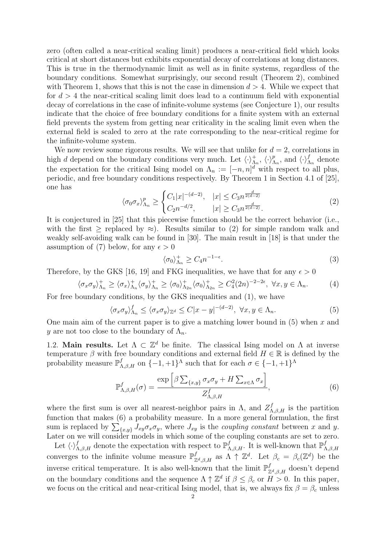zero (often called a near-critical scaling limit) produces a near-critical field which looks critical at short distances but exhibits exponential decay of correlations at long distances. This is true in the thermodynamic limit as well as in finite systems, regardless of the boundary conditions. Somewhat surprisingly, our second result (Theorem 2), combined with Theorem 1, shows that this is not the case in dimension  $d > 4$ . While we expect that for  $d > 4$  the near-critical scaling limit does lead to a continuum field with exponential decay of correlations in the case of infinite-volume systems (see Conjecture 1), our results indicate that the choice of free boundary conditions for a finite system with an external field prevents the system from getting near criticality in the scaling limit even when the external field is scaled to zero at the rate corresponding to the near-critical regime for the infinite-volume system.

We now review some rigorous results. We will see that unlike for  $d = 2$ , correlations in high d depend on the boundary conditions very much. Let  $\langle \cdot \rangle_{\Lambda_n}^+$ ,  $\langle \cdot \rangle_{\Lambda_n}^p$ , and  $\langle \cdot \rangle_{\Lambda_n}^f$  denote the expectation for the critical Ising model on  $\Lambda_n := [-n, n]^d$  with respect to all plus, periodic, and free boundary conditions respectively. By Theorem 1 in Section 4.1 of [25], one has

$$
\langle \sigma_0 \sigma_x \rangle_{\Lambda_n}^p \ge \begin{cases} C_1 |x|^{-(d-2)}, & |x| \le C_3 n^{\frac{d}{2(d-2)}}\\ C_2 n^{-d/2}, & |x| \ge C_3 n^{\frac{d}{2(d-2)}}. \end{cases} \tag{2}
$$

It is conjectured in [25] that this piecewise function should be the correct behavior (i.e., with the first  $\geq$  replaced by  $\approx$ ). Results similar to (2) for simple random walk and weakly self-avoiding walk can be found in [30]. The main result in [18] is that under the assumption of (7) below, for any  $\epsilon > 0$ 

$$
\langle \sigma_0 \rangle_{\Lambda_n}^+ \ge C_4 n^{-1-\epsilon}.\tag{3}
$$

Therefore, by the GKS [16, 19] and FKG inequalities, we have that for any  $\epsilon > 0$ 

$$
\langle \sigma_x \sigma_y \rangle_{\Lambda_n}^+ \ge \langle \sigma_x \rangle_{\Lambda_n}^+ \langle \sigma_y \rangle_{\Lambda_n}^+ \ge \langle \sigma_0 \rangle_{\Lambda_{2n}}^+ \langle \sigma_0 \rangle_{\Lambda_{2n}}^+ \ge C_4^2 (2n)^{-2-2\epsilon}, \ \forall x, y \in \Lambda_n. \tag{4}
$$

For free boundary conditions, by the GKS inequalities and (1), we have

$$
\langle \sigma_x \sigma_y \rangle_{\Lambda_n}^f \le \langle \sigma_x \sigma_y \rangle_{\mathbb{Z}^d} \le C |x - y|^{-(d-2)}, \ \forall x, y \in \Lambda_n. \tag{5}
$$

One main aim of the current paper is to give a matching lower bound in  $(5)$  when x and y are not too close to the boundary of  $\Lambda_n$ .

1.2. Main results. Let  $\Lambda \subset \mathbb{Z}^d$  be finite. The classical Ising model on  $\Lambda$  at inverse temperature  $\beta$  with free boundary conditions and external field  $H \in \mathbb{R}$  is defined by the probability measure  $\mathbb{P}^{f}_{\Lambda,\beta,H}$  on  $\{-1,+1\}^{\Lambda}$  such that for each  $\sigma \in \{-1,+1\}^{\Lambda}$ 

$$
\mathbb{P}^{f}_{\Lambda,\beta,H}(\sigma) = \frac{\exp\left[\beta \sum_{\{x,y\}} \sigma_x \sigma_y + H \sum_{x \in \Lambda} \sigma_x\right]}{Z^{f}_{\Lambda,\beta,H}},\tag{6}
$$

where the first sum is over all nearest-neighbor pairs in  $\Lambda$ , and  $Z_{\Lambda,\beta,H}^f$  is the partition function that makes (6) a probability measure. In a more general formulation, the first sum is replaced by  $\sum_{\{x,y\}} J_{xy}\sigma_x\sigma_y$ , where  $J_{xy}$  is the *coupling constant* between x and y. Later on we will consider models in which some of the coupling constants are set to zero.

Let  $\langle \cdot \rangle^f_{\Lambda,\beta,H}$  denote the expectation with respect to  $\mathbb{P}^f_{\Lambda,\beta,H}$ . It is well-known that  $\mathbb{P}^f_{\beta,H}$  $\Lambda, \beta, H$ converges to the infinite volume measure  $\mathbb{P}^{f}_{\mathbb{Z}^{d},\beta,H}$  as  $\Lambda \uparrow \mathbb{Z}^{d}$ . Let  $\beta_c = \beta_c(\mathbb{Z}^{d})$  be the inverse critical temperature. It is also well-known that the limit  $\mathbb{P}^{f}_{\mathbb{Z}^{d},\beta,H}$  doesn't depend on the boundary conditions and the sequence  $\Lambda \uparrow \mathbb{Z}^d$  if  $\beta \leq \beta_c$  or  $H > 0$ . In this paper, we focus on the critical and near-critical Ising model, that is, we always fix  $\beta = \beta_c$  unless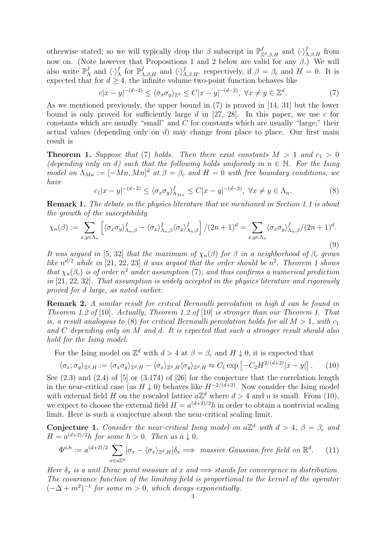otherwise stated; so we will typically drop the  $\beta$  subscript in  $\mathbb{P}^{f}_{\mathbb{Z}^{d},\beta,H}$  and  $\langle \cdot \rangle^{f}_{\Lambda,\beta,H}$  from now on. (Note however that Propositions 1 and 2 below are valid for any  $\beta$ .) We will also write  $\mathbb{P}^f_{\Lambda}$  $f_{\Lambda}$  and  $\langle \cdot \rangle_{\Lambda}^f$  for  $\mathbb{P}_{\Lambda,\beta,H}^f$  and  $\langle \cdot \rangle_{\Lambda,\beta,H}^f$ , respectively, if  $\beta = \beta_c$  and  $H = 0$ . It is expected that for  $d \geq 4$ , the infinite volume two-point function behaves like

$$
c|x-y|^{-(d-2)} \le \langle \sigma_x \sigma_y \rangle_{\mathbb{Z}^d} \le C|x-y|^{-(d-2)}, \ \forall x \ne y \in \mathbb{Z}^d. \tag{7}
$$

As we mentioned previously, the upper bound in (7) is proved in [14, 31] but the lower bound is only proved for sufficiently large  $d$  in [27, 28]. In this paper, we use  $c$  for constants which are usually "small" and  $C$  for constants which are usually "large;" their actual values (depending only on  $d$ ) may change from place to place. Our first main result is

**Theorem 1.** Suppose that (7) holds. Then there exist constants  $M > 1$  and  $c_1 > 0$ (depending only on d) such that the following holds uniformly in  $n \in \mathbb{N}$ . For the Ising model on  $\Lambda_{Mn} := [-Mn, Mn]^d$  at  $\beta = \beta_c$  and  $H = 0$  with free boundary conditions, we have

 $c_1|x-y|^{-(d-2)} \le \langle \sigma_x \sigma_y \rangle_{\Lambda_{M_n}}^f \le C|x-y|^{-(d-2)}, \ \forall x \ne y \in \Lambda_n.$  (8)

Remark 1. The debate in the physics literature that we mentioned in Section 1.1 is about the growth of the susceptibility

$$
\chi_n(\beta) := \sum_{x,y \in \Lambda_n} \left[ \langle \sigma_x \sigma_y \rangle^f_{\Lambda_n, \beta} - \langle \sigma_x \rangle^f_{\Lambda_n, \beta} \langle \sigma_y \rangle^f_{\Lambda_n, \beta} \right] / (2n+1)^d = \sum_{x,y \in \Lambda_n} \langle \sigma_x \sigma_y \rangle^f_{\Lambda_n, \beta} / (2n+1)^d.
$$
\n(9)

It was argued in [5, 32] that the maximum of  $\chi_n(\beta)$  for  $\beta$  in a neighborhood of  $\beta_c$  grows like  $n^{d/2}$  while in [21, 22, 23] it was argued that the order should be  $n^2$ . Theorem 1 shows that  $\chi_n(\beta_c)$  is of order  $n^2$  under assumption (7), and thus confirms a numerical prediction in [21, 22, 32]. That assumption is widely accepted in the physics literature and rigorously proved for d large, as noted earlier.

Remark 2. A similar result for critical Bernoulli percolation in high d can be found in Theorem 1.2 of [10]. Actually, Theorem 1.2 of [10] is stronger than our Theorem 1. That is, a result analogous to (8) for critical Bernoulli percolation holds for all  $M > 1$ , with  $c_1$ and C depending only on M and d. It is expected that such a stronger result should also hold for the Ising model.

For the Ising model on  $\mathbb{Z}^d$  with  $d > 4$  at  $\beta = \beta_c$  and  $H \downarrow 0$ , it is expected that

$$
\langle \sigma_x; \sigma_y \rangle_{\mathbb{Z}^d, H} := \langle \sigma_x \sigma_y \rangle_{\mathbb{Z}^d, H} - \langle \sigma_x \rangle_{\mathbb{Z}^d, H} \langle \sigma_y \rangle_{\mathbb{Z}^d, H} \approx C_1 \exp \left[ -C_2 H^{2/(d+2)} |x - y| \right]. \tag{10}
$$

See  $(2.3)$  and  $(2.4)$  of  $[5]$  or  $(3.174)$  of  $[26]$  for the conjecture that the correlation length in the near-critical case (as  $H \downarrow 0$ ) behaves like  $H^{-2/(d+2)}$ . Now consider the Ising model with external field H on the rescaled lattice  $a\mathbb{Z}^d$  where  $d > 4$  and a is small. From (10), we expect to choose the external field  $H = a^{(d+2)/2}h$  in order to obtain a nontrivial scaling limit. Here is such a conjecture about the near-critical scaling limit.

**Conjecture 1.** Consider the near-critical Ising model on  $a\mathbb{Z}^d$  with  $d > 4$ ,  $\beta = \beta_c$  and  $H = a^{(d+2)/2}h$  for some  $h > 0$ . Then as  $a \downarrow 0$ ,

$$
\Phi^{a,h} := a^{(d+2)/2} \sum_{x \in a\mathbb{Z}^d} [\sigma_x - \langle \sigma_x \rangle_{\mathbb{Z}^d, H}] \delta_x \Longrightarrow \text{ massive Gaussian free field on } \mathbb{R}^d. \tag{11}
$$

Here  $\delta_x$  is a unit Dirac point measure at x and  $\implies$  stands for convergence in distribution. The covariance function of the limiting field is proportional to the kernel of the operator  $(-\Delta + m^2)^{-1}$  for some  $m > 0$ , which decays exponentially.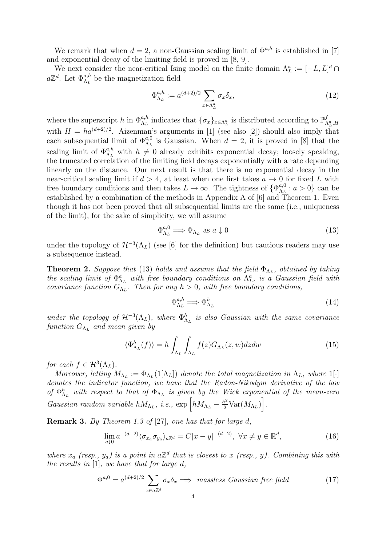We remark that when  $d = 2$ , a non-Gaussian scaling limit of  $\Phi^{a,h}$  is established in [7] and exponential decay of the limiting field is proved in [8, 9].

We next consider the near-critical Ising model on the finite domain  $\Lambda_L^a := [-L, L]^d \cap$  $a\mathbb{Z}^d$ . Let  $\Phi_{\Lambda_L}^{a,h}$  be the magnetization field

$$
\Phi_{\Lambda_L}^{a,h} := a^{(d+2)/2} \sum_{x \in \Lambda_L^a} \sigma_x \delta_x,\tag{12}
$$

where the superscript h in  $\Phi_{\Lambda_L}^{a,h}$  indicates that  $\{\sigma_x\}_{x \in \Lambda_L^a}$  is distributed according to  $\mathbb{P}^f_{\Lambda_L^a,H}$ with  $H = ha^{(d+2)/2}$ . Aizenman's arguments in [1] (see also [2]) should also imply that each subsequential limit of  $\Phi_{\Lambda_L}^{a,0}$  is Gaussian. When  $d=2$ , it is proved in [8] that the scaling limit of  $\Phi_{\Lambda_L}^{a,h}$  with  $h \neq 0$  already exhibits exponential decay; loosely speaking, the truncated correlation of the limiting field decays exponentially with a rate depending linearly on the distance. Our next result is that there is no exponential decay in the near-critical scaling limit if  $d > 4$ , at least when one first takes  $a \to 0$  for fixed L with free boundary conditions and then takes  $L \to \infty$ . The tightness of  $\{\Phi_{\Lambda_L}^{a,0}$  $a_{\Lambda_L}^{a,0}: a > 0$ } can be established by a combination of the methods in Appendix A of [6] and Theorem 1. Even though it has not been proved that all subsequential limits are the same (i.e., uniqueness of the limit), for the sake of simplicity, we will assume

$$
\Phi_{\Lambda_L}^{a,0} \Longrightarrow \Phi_{\Lambda_L} \text{ as } a \downarrow 0 \tag{13}
$$

under the topology of  $\mathcal{H}^{-3}(\Lambda_L)$  (see [6] for the definition) but cautious readers may use a subsequence instead.

**Theorem 2.** Suppose that (13) holds and assume that the field  $\Phi_{\Lambda_L}$ , obtained by taking the scaling limit of  $\Phi_{\Lambda_L}^a$  with free boundary conditions on  $\Lambda_L^a$ , is a Gaussian field with covariance function  $G_{\Lambda_L}$ . Then for any  $h > 0$ , with free boundary conditions,

$$
\Phi_{\Lambda_L}^{a,h} \Longrightarrow \Phi_{\Lambda_L}^h \tag{14}
$$

under the topology of  $\mathcal{H}^{-3}(\Lambda_L)$ , where  $\Phi_{\Lambda_L}^h$  is also Gaussian with the same covariance  $\emph{function}$   $G_{\Lambda_L}$  and mean given by

$$
\langle \Phi_{\Lambda_L}^h(f) \rangle = h \int_{\Lambda_L} \int_{\Lambda_L} f(z) G_{\Lambda_L}(z, w) dz dw \tag{15}
$$

for each  $f \in \mathcal{H}^3(\Lambda_L)$ .

Moreover, letting  $M_{\Lambda_L} := \Phi_{\Lambda_L}(1[\Lambda_L])$  denote the total magnetization in  $\Lambda_L$ , where  $1[\cdot]$ denotes the indicator function, we have that the Radon-Nikodym derivative of the law of  $\Phi_{\Lambda_L}^h$  with respect to that of  $\Phi_{\Lambda_L}$  is given by the Wick exponential of the mean-zero Gaussian random variable  $hM_{\Lambda_L}$ , i.e.,  $\exp\left[hM_{\Lambda_L} - \frac{h^2}{2} \text{Var}(M_{\Lambda_L})\right]$ .

Remark 3. By Theorem 1.3 of [27], one has that for large d,

$$
\lim_{a\downarrow 0} a^{-(d-2)} \langle \sigma_{x_a} \sigma_{y_a} \rangle_{a\mathbb{Z}^d} = C|x-y|^{-(d-2)}, \ \forall x \neq y \in \mathbb{R}^d,
$$
\n(16)

where  $x_a$  (resp.,  $y_a$ ) is a point in  $a\mathbb{Z}^d$  that is closest to x (resp., y). Combining this with the results in  $[1]$ , we have that for large d,

$$
\Phi^{a,0} = a^{(d+2)/2} \sum_{x \in a\mathbb{Z}^d} \sigma_x \delta_x \Longrightarrow \text{massless Gaussian free field} \tag{17}
$$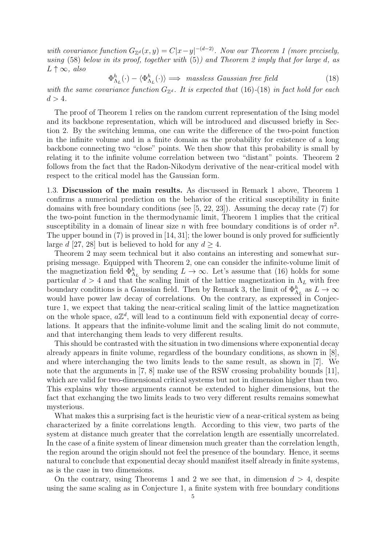with covariance function  $G_{\mathbb{Z}^d}(x,y) = C|x-y|^{-(d-2)}$ . Now our Theorem 1 (more precisely, using  $(58)$  below in its proof, together with  $(5)$ ) and Theorem 2 imply that for large d, as  $L \uparrow \infty$ , also

$$
\Phi_{\Lambda_L}^h(\cdot) - \langle \Phi_{\Lambda_L}^h(\cdot) \rangle \implies \text{massless Gaussian free field} \tag{18}
$$

with the same covariance function  $G_{\mathbb{Z}^d}$ . It is expected that (16)-(18) in fact hold for each  $d > 4$ .

The proof of Theorem 1 relies on the random current representation of the Ising model and its backbone representation, which will be introduced and discussed briefly in Section 2. By the switching lemma, one can write the difference of the two-point function in the infinite volume and in a finite domain as the probability for existence of a long backbone connecting two "close" points. We then show that this probability is small by relating it to the infinite volume correlation between two "distant" points. Theorem 2 follows from the fact that the Radon-Nikodym derivative of the near-critical model with respect to the critical model has the Gaussian form.

1.3. Discussion of the main results. As discussed in Remark 1 above, Theorem 1 confirms a numerical prediction on the behavior of the critical susceptibility in finite domains with free boundary conditions (see [5, 22, 23]). Assuming the decay rate (7) for the two-point function in the thermodynamic limit, Theorem 1 implies that the critical susceptibility in a domain of linear size n with free boundary conditions is of order  $n^2$ . The upper bound in  $(7)$  is proved in  $[14, 31]$ ; the lower bound is only proved for sufficiently large d [27, 28] but is believed to hold for any  $d > 4$ .

Theorem 2 may seem technical but it also contains an interesting and somewhat surprising message. Equipped with Theorem 2, one can consider the infinite-volume limit of the magnetization field  $\Phi_{\Lambda_L}^h$  by sending  $L \to \infty$ . Let's assume that (16) holds for some particular  $d > 4$  and that the scaling limit of the lattice magnetization in  $\Lambda_L$  with free boundary conditions is a Gaussian field. Then by Remark 3, the limit of  $\Phi_{\Lambda_L}^h$  as  $L \to \infty$ would have power law decay of correlations. On the contrary, as expressed in Conjecture 1, we expect that taking the near-critical scaling limit of the lattice magnetization on the whole space,  $a\mathbb{Z}^d$ , will lead to a continuum field with exponential decay of correlations. It appears that the infinite-volume limit and the scaling limit do not commute, and that interchanging them leads to very different results.

This should be contrasted with the situation in two dimensions where exponential decay already appears in finite volume, regardless of the boundary conditions, as shown in [8], and where interchanging the two limits leads to the same result, as shown in [7]. We note that the arguments in [7, 8] make use of the RSW crossing probability bounds [11], which are valid for two-dimensional critical systems but not in dimension higher than two. This explains why those arguments cannot be extended to higher dimensions, but the fact that exchanging the two limits leads to two very different results remains somewhat mysterious.

What makes this a surprising fact is the heuristic view of a near-critical system as being characterized by a finite correlations length. According to this view, two parts of the system at distance much greater that the correlation length are essentially uncorrelated. In the case of a finite system of linear dimension much greater than the correlation length, the region around the origin should not feel the presence of the boundary. Hence, it seems natural to conclude that exponential decay should manifest itself already in finite systems, as is the case in two dimensions.

On the contrary, using Theorems 1 and 2 we see that, in dimension  $d > 4$ , despite using the same scaling as in Conjecture 1, a finite system with free boundary conditions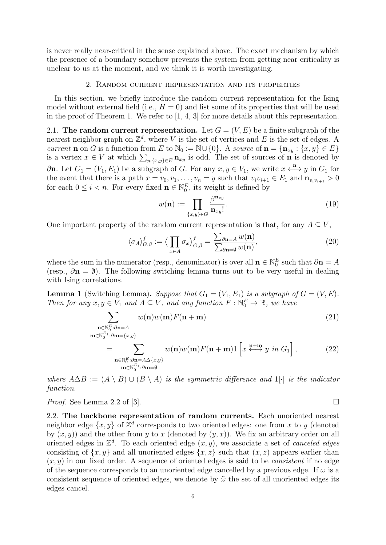is never really near-critical in the sense explained above. The exact mechanism by which the presence of a boundary somehow prevents the system from getting near criticality is unclear to us at the moment, and we think it is worth investigating.

### 2. Random current representation and its properties

In this section, we briefly introduce the random current representation for the Ising model without external field (i.e.,  $H = 0$ ) and list some of its properties that will be used in the proof of Theorem 1. We refer to [1, 4, 3] for more details about this representation.

2.1. The random current representation. Let  $G = (V, E)$  be a finite subgraph of the nearest neighbor graph on  $\mathbb{Z}^d$ , where V is the set of vertices and E is the set of edges. A current **n** on G is a function from E to  $\mathbb{N}_0 := \mathbb{N} \cup \{0\}$ . A source of  $\mathbf{n} = \{\mathbf{n}_{xy} : \{x, y\} \in E\}$ is a vertex  $x \in V$  at which  $\sum_{y:\{x,y\} \in E} \mathbf{n}_{xy}$  is odd. The set of sources of **n** is denoted by  $\partial$ n. Let  $G_1 = (V_1, E_1)$  be a subgraph of G. For any  $x, y \in V_1$ , we write  $x \leftrightarrow^{\mathbf{n}} y$  in  $G_1$  for the event that there is a path  $x = v_0, v_1, \ldots, v_n = y$  such that  $v_i v_{i+1} \in E_1$  and  $\mathbf{n}_{v_i v_{i+1}} > 0$ for each  $0 \leq i < n$ . For every fixed  $\mathbf{n} \in \mathbb{N}_0^E$ , its weight is defined by

$$
w(\mathbf{n}) := \prod_{\{x,y\} \in G} \frac{\beta^{\mathbf{n}_{xy}}}{\mathbf{n}_{xy}!}.
$$
 (19)

One important property of the random current representation is that, for any  $A \subseteq V$ ,

$$
\langle \sigma_A \rangle_{G,\beta}^f := \left\langle \prod_{x \in A} \sigma_x \right\rangle_{G,\beta}^f = \frac{\sum_{\partial \mathbf{n} = A} w(\mathbf{n})}{\sum_{\partial \mathbf{n} = \emptyset} w(\mathbf{n})},\tag{20}
$$

where the sum in the numerator (resp., denominator) is over all  $\mathbf{n} \in \mathbb{N}_0^E$  such that  $\partial \mathbf{n} = A$ (resp.,  $\partial \mathbf{n} = \emptyset$ ). The following switching lemma turns out to be very useful in dealing with Ising correlations.

**Lemma 1** (Switching Lemma). Suppose that  $G_1 = (V_1, E_1)$  is a subgraph of  $G = (V, E)$ . Then for any  $x, y \in V_1$  and  $A \subseteq V$ , and any function  $F : \mathbb{N}_0^E \to \mathbb{R}$ , we have

$$
\sum_{\substack{\mathbf{n}\in\mathbb{N}_{\mathcal{C}}^{E}:\partial\mathbf{n}=A\\ \mathbf{m}\in\mathbb{N}_{0}^{E_{1}}:\partial\mathbf{m}=\{x,y\}}}\ w(\mathbf{n})w(\mathbf{m})F(\mathbf{n}+\mathbf{m})
$$
(21)

$$
= \sum_{\substack{\mathbf{n}\in\mathbb{N}_0^E:\partial\mathbf{n}=A\Delta\{x,y\}\\ \mathbf{m}\in\mathbb{N}_0^{E_1}:\partial\mathbf{m}=\emptyset}} w(\mathbf{n})w(\mathbf{m})F(\mathbf{n}+\mathbf{m})\mathbf{1}\left[x \stackrel{\mathbf{n}+\mathbf{m}}{\longleftrightarrow} y \text{ in } G_1\right],\tag{22}
$$

where  $A\Delta B := (A \setminus B) \cup (B \setminus A)$  is the symmetric difference and 1[·] is the indicator function.

*Proof.* See Lemma 2.2 of [3].

2.2. The backbone representation of random currents. Each unoriented nearest neighbor edge  $\{x, y\}$  of  $\mathbb{Z}^d$  corresponds to two oriented edges: one from x to y (denoted by  $(x, y)$  and the other from y to x (denoted by  $(y, x)$ ). We fix an arbitrary order on all oriented edges in  $\mathbb{Z}^d$ . To each oriented edge  $(x, y)$ , we associate a set of *canceled edges* consisting of  $\{x, y\}$  and all unoriented edges  $\{x, z\}$  such that  $(x, z)$  appears earlier than  $(x, y)$  in our fixed order. A sequence of oriented edges is said to be *consistent* if no edge of the sequence corresponds to an unoriented edge cancelled by a previous edge. If  $\omega$  is a consistent sequence of oriented edges, we denote by  $\tilde{\omega}$  the set of all unoriented edges its edges cancel.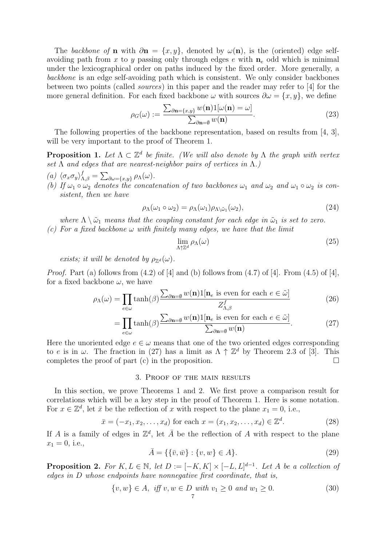The backbone of **n** with  $\partial$ **n** = {x, y}, denoted by  $\omega$ (**n**), is the (oriented) edge selfavoiding path from x to y passing only through edges e with  $n_e$  odd which is minimal under the lexicographical order on paths induced by the fixed order. More generally, a backbone is an edge self-avoiding path which is consistent. We only consider backbones between two points (called sources) in this paper and the reader may refer to [4] for the more general definition. For each fixed backbone  $\omega$  with sources  $\partial \omega = \{x, y\}$ , we define

$$
\rho_G(\omega) := \frac{\sum_{\partial \mathbf{n} = \{x, y\}} w(\mathbf{n}) \mathbf{1}[\omega(\mathbf{n}) = \omega]}{\sum_{\partial \mathbf{n} = \emptyset} w(\mathbf{n})}.
$$
\n(23)

The following properties of the backbone representation, based on results from [4, 3], will be very important to the proof of Theorem 1.

**Proposition 1.** Let  $\Lambda \subset \mathbb{Z}^d$  be finite. (We will also denote by  $\Lambda$  the graph with vertex set  $\Lambda$  and edges that are nearest-neighbor pairs of vertices in  $\Lambda$ .)

- (a)  $\langle \sigma_x \sigma_y \rangle_{\Lambda,\beta}^f = \sum_{\partial \omega = \{x,y\}} \rho_\Lambda(\omega).$
- (b) If  $\omega_1 \circ \omega_2$  denotes the concatenation of two backbones  $\omega_1$  and  $\omega_2$  and  $\omega_1 \circ \omega_2$  is consistent, then we have

$$
\rho_{\Lambda}(\omega_1 \circ \omega_2) = \rho_{\Lambda}(\omega_1)\rho_{\Lambda \backslash \tilde{\omega}_1}(\omega_2),\tag{24}
$$

where  $\Lambda \setminus \tilde{\omega}_1$  means that the coupling constant for each edge in  $\tilde{\omega}_1$  is set to zero. (c) For a fixed backbone  $\omega$  with finitely many edges, we have that the limit

$$
\lim_{\Lambda \uparrow \mathbb{Z}^d} \rho_\Lambda(\omega) \tag{25}
$$

exists; it will be denoted by  $\rho_{\mathbb{Z}^d}(\omega)$ .

*Proof.* Part (a) follows from  $(4.2)$  of  $[4]$  and (b) follows from  $(4.7)$  of  $[4]$ . From  $(4.5)$  of  $[4]$ , for a fixed backbone  $\omega$ , we have

$$
\rho_{\Lambda}(\omega) = \prod_{e \in \omega} \tanh(\beta) \frac{\sum_{\partial \mathbf{n} = \emptyset} w(\mathbf{n}) \mathbb{1}[\mathbf{n}_e \text{ is even for each } e \in \tilde{\omega}]}{Z_{\Lambda,\beta}^f}
$$
(26)

$$
= \prod_{e \in \omega} \tanh(\beta) \frac{\sum_{\partial \mathbf{n} = \emptyset} w(\mathbf{n}) \mathbf{1}[\mathbf{n}_e \text{ is even for each } e \in \tilde{\omega}]}{\sum_{\partial \mathbf{n} = \emptyset} w(\mathbf{n})}.
$$
 (27)

Here the unoriented edge  $e \in \omega$  means that one of the two oriented edges corresponding to e is in  $\omega$ . The fraction in (27) has a limit as  $\Lambda \uparrow \mathbb{Z}^d$  by Theorem 2.3 of [3]. This completes the proof of part (c) in the proposition.  $\Box$ 

### 3. Proof of the main results

In this section, we prove Theorems 1 and 2. We first prove a comparison result for correlations which will be a key step in the proof of Theorem 1. Here is some notation. For  $x \in \mathbb{Z}^d$ , let  $\bar{x}$  be the reflection of x with respect to the plane  $x_1 = 0$ , i.e.,

$$
\bar{x} = (-x_1, x_2, \dots, x_d)
$$
 for each  $x = (x_1, x_2, \dots, x_d) \in \mathbb{Z}^d$ . (28)

If A is a family of edges in  $\mathbb{Z}^d$ , let  $\overline{A}$  be the reflection of A with respect to the plane  $x_1 = 0$ , i.e.,

$$
\bar{A} = \{ \{\bar{v}, \bar{w}\} : \{v, w\} \in A \}.
$$
\n(29)

**Proposition 2.** For  $K, L \in \mathbb{N}$ , let  $D := [-K, K] \times [-L, L]^{d-1}$ . Let A be a collection of edges in D whose endpoints have nonnegative first coordinate, that is,

$$
\{v, w\} \in A, \text{ iff } v, w \in D \text{ with } v_1 \ge 0 \text{ and } w_1 \ge 0. \tag{30}
$$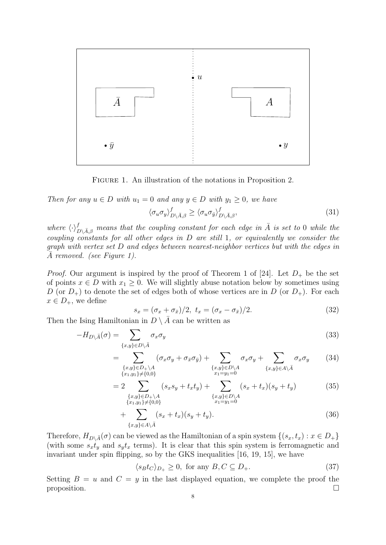

Figure 1. An illustration of the notations in Proposition 2.

Then for any  $u \in D$  with  $u_1 = 0$  and any  $y \in D$  with  $y_1 \geq 0$ , we have  $\langle \sigma_u \sigma_y \rangle_{D \setminus \bar{A}, \beta}^f \geq \langle \sigma_u \sigma_{\bar{y}} \rangle_{D}^f$  $D\backslash \bar{A},\beta$ 

where  $\langle \cdot \rangle_{D \setminus \bar{A},\beta}^f$  means that the coupling constant for each edge in  $\bar{A}$  is set to 0 while the coupling constants for all other edges in D are still 1, or equivalently we consider the graph with vertex set D and edges between nearest-neighbor vertices but with the edges in A removed. (see Figure 1).

*Proof.* Our argument is inspired by the proof of Theorem 1 of [24]. Let  $D_+$  be the set of points  $x \in D$  with  $x_1 \geq 0$ . We will slightly abuse notation below by sometimes using D (or  $D_+$ ) to denote the set of edges both of whose vertices are in D (or  $D_+$ ). For each  $x \in D_+$ , we define

$$
s_x = (\sigma_x + \sigma_{\bar{x}})/2, \ t_x = (\sigma_x - \sigma_{\bar{x}})/2. \tag{32}
$$

 $(31)$ 

Then the Ising Hamiltonian in  $D \setminus A$  can be written as

$$
-H_{D\setminus\bar{A}}(\sigma) = \sum_{\{x,y\} \in D\setminus\bar{A}} \sigma_x \sigma_y \tag{33}
$$

$$
= \sum_{\substack{\{x,y\} \in D_+\backslash A \\ \{x_1,y_1\} \neq \{0,0\}}} (\sigma_x \sigma_y + \sigma_{\bar{x}} \sigma_{\bar{y}}) + \sum_{\substack{\{x,y\} \in D \backslash A \\ x_1 = y_1 = 0}} \sigma_x \sigma_y + \sum_{\{x,y\} \in A \backslash \bar{A}} \sigma_x \sigma_y \qquad (34)
$$

$$
=2\sum_{\substack{\{x,y\}\in D_{+}\backslash A\\ \{x_{1},y_{1}\}\neq\{0,0\}}}\left(s_{x}s_{y}+t_{x}t_{y}\right)+\sum_{\substack{\{x,y\}\in D\backslash A\\ x_{1}=y_{1}=0}}\left(s_{x}+t_{x}\right)\left(s_{y}+t_{y}\right) \tag{35}
$$

$$
+\sum_{\{x,y\}\in A\setminus\bar{A}}(s_x+t_x)(s_y+t_y). \tag{36}
$$

Therefore,  $H_{D\setminus \bar{A}}(\sigma)$  can be viewed as the Hamiltonian of a spin system  $\{(s_x, t_x) : x \in D_+\}$ (with some  $s_x t_y$  and  $s_y t_x$  terms). It is clear that this spin system is ferromagnetic and invariant under spin flipping, so by the GKS inequalities [16, 19, 15], we have

$$
\langle s_B t_C \rangle_{D_+} \ge 0, \text{ for any } B, C \subseteq D_+.
$$
 (37)

Setting  $B = u$  and  $C = y$  in the last displayed equation, we complete the proof the proposition.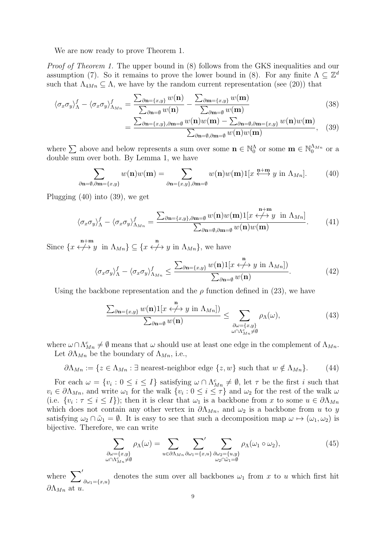We are now ready to prove Theorem 1.

Proof of Theorem 1. The upper bound in  $(8)$  follows from the GKS inequalities and our assumption (7). So it remains to prove the lower bound in (8). For any finite  $\Lambda \subseteq \mathbb{Z}^d$ such that  $\Lambda_{4Mn} \subseteq \Lambda$ , we have by the random current representation (see (20)) that

$$
\langle \sigma_x \sigma_y \rangle_{\Lambda}^f - \langle \sigma_x \sigma_y \rangle_{\Lambda_{Mn}}^f = \frac{\sum_{\partial \mathbf{n} = \{x, y\}} w(\mathbf{n})}{\sum_{\partial \mathbf{n} = \emptyset} w(\mathbf{n})} - \frac{\sum_{\partial \mathbf{m} = \{x, y\}} w(\mathbf{m})}{\sum_{\partial \mathbf{m} = \emptyset} w(\mathbf{m})}
$$
(38)

$$
=\frac{\sum_{\partial \mathbf{n}=\{x,y\},\partial \mathbf{m}=\emptyset}w(\mathbf{n})w(\mathbf{m})-\sum_{\partial \mathbf{n}=\emptyset,\partial \mathbf{m}=\{x,y\}}w(\mathbf{n})w(\mathbf{m})}{\sum_{\partial \mathbf{n}=\emptyset,\partial \mathbf{m}=\emptyset}w(\mathbf{n})w(\mathbf{m})},\quad(39)
$$

where  $\sum$  above and below represents a sum over some  $\mathbf{n} \in \mathbb{N}_0^{\Lambda}$  or some  $\mathbf{m} \in \mathbb{N}_0^{\Lambda_{M_n}}$  or a double sum over both. By Lemma 1, we have

$$
\sum_{\partial \mathbf{n} = \emptyset, \partial \mathbf{m} = \{x, y\}} w(\mathbf{n}) w(\mathbf{m}) = \sum_{\partial \mathbf{n} = \{x, y\}, \partial \mathbf{m} = \emptyset} w(\mathbf{n}) w(\mathbf{m}) \mathbb{1}[x \stackrel{\mathbf{n} + \mathbf{m}}{\longleftrightarrow} y \text{ in } \Lambda_{Mn}]. \tag{40}
$$

Plugging (40) into (39), we get

$$
\langle \sigma_x \sigma_y \rangle_{\Lambda}^f - \langle \sigma_x \sigma_y \rangle_{\Lambda_{Mn}}^f = \frac{\sum_{\partial \mathbf{n} = \{x, y\}, \partial \mathbf{m} = \emptyset} w(\mathbf{n}) w(\mathbf{m}) \mathbb{1}[x \stackrel{\mathbf{n} + \mathbf{m}}{\longleftrightarrow} y \text{ in } \Lambda_{Mn}]}{\sum_{\partial \mathbf{n} = \emptyset, \partial \mathbf{m} = \emptyset} w(\mathbf{n}) w(\mathbf{m})}.
$$
 (41)

Since  $\{x \stackrel{\mathbf{n}+\mathbf{m}}{\longleftrightarrow} y \text{ in } \Lambda_{Mn}\} \subseteq \{x \stackrel{\mathbf{n}}{\longleftrightarrow} y \text{ in } \Lambda_{Mn}\},\$ we have

$$
\langle \sigma_x \sigma_y \rangle_{\Lambda}^f - \langle \sigma_x \sigma_y \rangle_{\Lambda_{Mn}}^f \le \frac{\sum_{\partial \mathbf{n} = \{x, y\}} w(\mathbf{n}) \mathbb{1}[x \stackrel{\mathbf{n}}{\longleftrightarrow} y \text{ in } \Lambda_{Mn}])}{\sum_{\partial \mathbf{n} = \emptyset} w(\mathbf{n})}.
$$
 (42)

Using the backbone representation and the  $\rho$  function defined in (23), we have

$$
\frac{\sum_{\partial \mathbf{n}=\{x,y\}} w(\mathbf{n}) \mathbb{1}[x \stackrel{\mathbf{n}}{\longleftrightarrow} y \text{ in } \Lambda_{Mn}])}{\sum_{\partial \mathbf{n}=\emptyset} w(\mathbf{n})} \leq \sum_{\substack{\partial \omega=\{x,y\} \\ \omega \cap \Lambda_{M}^c \neq \emptyset}} \rho_{\Lambda}(\omega),
$$
\n(43)

where  $\omega \cap \Lambda_{M_n}^c \neq \emptyset$  means that  $\omega$  should use at least one edge in the complement of  $\Lambda_{M_n}$ .

Let  $\partial \Lambda_{Mn}$  be the boundary of  $\Lambda_{Mn}$ , i.e.,

$$
\partial \Lambda_{Mn} := \{ z \in \Lambda_{Mn} : \exists \text{ nearest-neighbor edge } \{z, w\} \text{ such that } w \notin \Lambda_{Mn} \}. \tag{44}
$$

For each  $\omega = \{v_i : 0 \le i \le I\}$  satisfying  $\omega \cap \Lambda_{Mn}^c \neq \emptyset$ , let  $\tau$  be the first i such that  $v_i \in \partial \Lambda_{M_n}$ , and write  $\omega_1$  for the walk  $\{v_i : 0 \le i \le \tau\}$  and  $\omega_2$  for the rest of the walk  $\omega$ (i.e.  $\{v_i : \tau \leq i \leq I\}$ ); then it is clear that  $\omega_1$  is a backbone from x to some  $u \in \partial \Lambda_{Mn}$ which does not contain any other vertex in  $\partial \Lambda_{M_n}$ , and  $\omega_2$  is a backbone from u to y satisfying  $\omega_2 \cap \tilde{\omega}_1 = \emptyset$ . It is easy to see that such a decomposition map  $\omega \mapsto (\omega_1, \omega_2)$  is bijective. Therefore, we can write

$$
\sum_{\substack{\partial\omega=\{x,y\}\\ \omega\cap\Lambda_{Mn}^c\neq\emptyset}} \rho_\Lambda(\omega) = \sum_{u\in\partial\Lambda_{Mn}} \sum_{\partial\omega_1=\{x,u\}}' \sum_{\substack{\partial\omega_2=\{u,y\}\\ \omega_2\cap\tilde{\omega}_1=\emptyset}} \rho_\Lambda(\omega_1\circ\omega_2),\tag{45}
$$

where  $\sum'_{\partial \omega_1 = \{x, u\}}$  denotes the sum over all backbones  $\omega_1$  from x to u which first hit  $\partial \Lambda_{Mn}$  at u.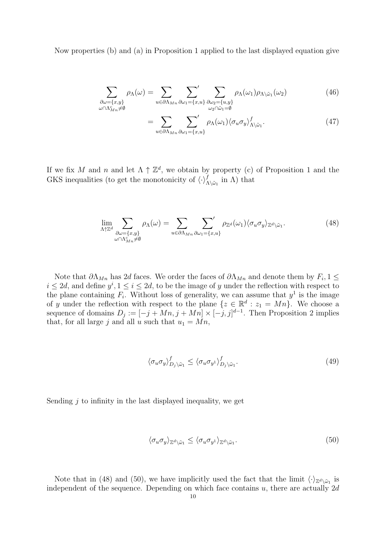Now properties (b) and (a) in Proposition 1 applied to the last displayed equation give

$$
\sum_{\substack{\partial\omega=\{x,y\}\\ \omega\cap\Lambda_{Mn}^c\neq\emptyset}}\rho_{\Lambda}(\omega)=\sum_{u\in\partial\Lambda_{Mn}}\sum_{\partial\omega_{1}=\{x,u\}}\sum_{\substack{\partial\omega_{2}=\{u,y\}\\ \omega_{2}\cap\tilde{\omega}_{1}=\emptyset}}\rho_{\Lambda}(\omega_{1})\rho_{\Lambda\setminus\tilde{\omega}_{1}}(\omega_{2})
$$
(46)

$$
=\sum_{u\in\partial\Lambda_{Mn}}\sum_{\partial\omega_1=\{x,u\}}'\rho_{\Lambda}(\omega_1)\langle\sigma_u\sigma_y\rangle^f_{\Lambda\setminus\tilde{\omega}_1}.\tag{47}
$$

If we fix M and n and let  $\Lambda \uparrow \mathbb{Z}^d$ , we obtain by property (c) of Proposition 1 and the GKS inequalities (to get the monotonicity of  $\langle \cdot \rangle_{\Lambda \setminus \tilde{\omega}_1}^f$  in  $\Lambda$ ) that

$$
\lim_{\substack{\Lambda \uparrow \mathbb{Z}^d \\ \omega \cap \Lambda_{Mn}^c \neq \emptyset}} \sum_{\substack{\partial \omega = \{x, y\} \\ \omega \cap \Lambda_{Mn}^c \neq \emptyset}} \rho_{\Lambda}(\omega) = \sum_{u \in \partial \Lambda_{Mn}} \sum_{\partial \omega_1 = \{x, u\}}' \rho_{\mathbb{Z}^d}(\omega_1) \langle \sigma_u \sigma_y \rangle_{\mathbb{Z}^d \setminus \tilde{\omega}_1}.
$$
\n(48)

Note that  $\partial \Lambda_{Mn}$  has 2d faces. We order the faces of  $\partial \Lambda_{Mn}$  and denote them by  $F_i$ , 1  $\leq$  $i \leq 2d$ , and define  $y^i, 1 \leq i \leq 2d$ , to be the image of y under the reflection with respect to the plane containing  $F_i$ . Without loss of generality, we can assume that  $y^1$  is the image of y under the reflection with respect to the plane  $\{z \in \mathbb{R}^d : z_1 = Mn\}$ . We choose a sequence of domains  $D_j := [-j + Mn, j + Mn] \times [-j, j]^{d-1}$ . Then Proposition 2 implies that, for all large j and all u such that  $u_1 = Mn$ ,

$$
\langle \sigma_u \sigma_y \rangle_{D_j \setminus \tilde{\omega}_1}^f \le \langle \sigma_u \sigma_{y^1} \rangle_{D_j \setminus \tilde{\omega}_1}^f. \tag{49}
$$

Sending  $j$  to infinity in the last displayed inequality, we get

$$
\langle \sigma_u \sigma_y \rangle_{\mathbb{Z}^d \setminus \tilde{\omega}_1} \le \langle \sigma_u \sigma_{y^1} \rangle_{\mathbb{Z}^d \setminus \tilde{\omega}_1}.\tag{50}
$$

Note that in (48) and (50), we have implicitly used the fact that the limit  $\langle \cdot \rangle_{\mathbb{Z}^d \setminus \tilde{\omega}_1}$  is independent of the sequence. Depending on which face contains  $u$ , there are actually  $2d$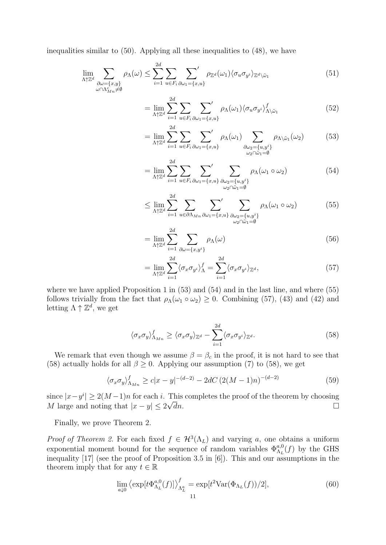inequalities similar to (50). Applying all these inequalities to (48), we have

$$
\lim_{\substack{\Lambda \uparrow \mathbb{Z}^d \\ \omega \cap \Lambda_{\mathcal{U}n}^c \neq \emptyset}} \sum_{\substack{\partial \omega = \{x,y\} \\ \omega \cap \Lambda_{\mathcal{U}n}^c \neq \emptyset}} \rho_{\Lambda}(\omega) \le \sum_{i=1}^{2d} \sum_{u \in F_i} \sum_{\partial \omega_1 = \{x,u\}}' \rho_{\mathbb{Z}^d}(\omega_1) \langle \sigma_u \sigma_{y^i} \rangle_{\mathbb{Z}^d \setminus \tilde{\omega}_1} \tag{51}
$$

$$
= \lim_{\Lambda \uparrow \mathbb{Z}^d} \sum_{i=1}^{2d} \sum_{u \in F_i} \sum_{\partial \omega_1 = \{x, u\}} \rho_{\Lambda}(\omega_1) \langle \sigma_u \sigma_{y^i} \rangle_{\Lambda \setminus \tilde{\omega}_1}^f \tag{52}
$$

$$
= \lim_{\Lambda \uparrow \mathbb{Z}^d} \sum_{i=1}^{2d} \sum_{u \in F_i} \sum_{\partial \omega_1 = \{x, u\}}' \rho_{\Lambda}(\omega_1) \sum_{\substack{\partial \omega_2 = \{u, y^i\} \\ \omega_2 \cap \tilde{\omega}_1 = \emptyset}} \rho_{\Lambda \setminus \tilde{\omega}_1}(\omega_2)
$$
(53)

$$
= \lim_{\Lambda \uparrow \mathbb{Z}^d} \sum_{i=1}^{2d} \sum_{u \in F_i} \sum_{\partial \omega_1 = \{x, u\}}' \sum_{\substack{\partial \omega_2 = \{u, y^i\} \\ \omega_2 \cap \tilde{\omega}_1 = \emptyset}} \rho_\Lambda(\omega_1 \circ \omega_2)
$$
(54)

$$
\leq \lim_{\Lambda \uparrow \mathbb{Z}^d} \sum_{i=1}^{2d} \sum_{u \in \partial \Lambda_{Mn}} \sum_{\partial \omega_1 = \{x, u\}}' \sum_{\substack{\partial \omega_2 = \{u, y^i\} \\ \omega_2 \cap \tilde{\omega}_1 = \emptyset}} \rho_\Lambda(\omega_1 \circ \omega_2) \tag{55}
$$

$$
= \lim_{\Lambda \uparrow \mathbb{Z}^d} \sum_{i=1}^{2d} \sum_{\partial \omega = \{x, y^i\}} \rho_{\Lambda}(\omega) \tag{56}
$$

$$
= \lim_{\Lambda \uparrow \mathbb{Z}^d} \sum_{i=1}^{2d} \langle \sigma_x \sigma_{y^i} \rangle_{\Lambda}^f = \sum_{i=1}^{2d} \langle \sigma_x \sigma_{y^i} \rangle_{\mathbb{Z}^d},\tag{57}
$$

where we have applied Proposition 1 in  $(53)$  and  $(54)$  and in the last line, and where  $(55)$ follows trivially from the fact that  $\rho_{\Lambda}(\omega_1 \circ \omega_2) \geq 0$ . Combining (57), (43) and (42) and letting  $\Lambda \uparrow \mathbb{Z}^d$ , we get

$$
\langle \sigma_x \sigma_y \rangle_{\Lambda_{Mn}}^f \ge \langle \sigma_x \sigma_y \rangle_{\mathbb{Z}^d} - \sum_{i=1}^{2d} \langle \sigma_x \sigma_{y^i} \rangle_{\mathbb{Z}^d}.
$$
 (58)

We remark that even though we assume  $\beta = \beta_c$  in the proof, it is not hard to see that (58) actually holds for all  $\beta \geq 0$ . Applying our assumption (7) to (58), we get

$$
\langle \sigma_x \sigma_y \rangle_{\Lambda_{Mn}}^f \ge c |x - y|^{-(d-2)} - 2dC \left( 2(M - 1)n \right)^{-(d-2)} \tag{59}
$$

since  $|x-y^i| \ge 2(M-1)n$  for each *i*. This completes the proof of the theorem by choosing M large and noting that  $|x - y| \leq 2\sqrt{d}n$ .  $\overline{d}n$ .

Finally, we prove Theorem 2.

*Proof of Theorem 2.* For each fixed  $f \in H^3(\Lambda_L)$  and varying a, one obtains a uniform exponential moment bound for the sequence of random variables  $\Phi_{\Lambda_L}^{a,0}(f)$  by the GHS inequality [17] (see the proof of Proposition 3.5 in [6]). This and our assumptions in the theorem imply that for any  $t \in \mathbb{R}$ 

$$
\lim_{a\downarrow 0} \left\langle \exp[t\Phi_{\Lambda_L}^{a,0}(f)] \right\rangle_{\Lambda_L^a}^f = \exp[t^2 \text{Var}(\Phi_{\Lambda_L}(f))/2],\tag{60}
$$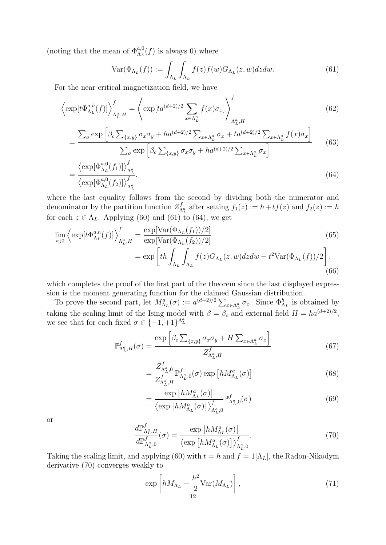(noting that the mean of  $\Phi_{\Lambda_L}^{a,0}(f)$  is always 0) where

$$
\text{Var}(\Phi_{\Lambda_L}(f)) := \int_{\Lambda_L} \int_{\Lambda_L} f(z) f(w) G_{\Lambda_L}(z, w) dz dw. \tag{61}
$$

For the near-critical magnetization field, we have

$$
\left\langle \exp[t\Phi_{\Lambda_L}^{a,h}(f)] \right\rangle_{\Lambda_L^a,H}^f = \left\langle \exp[ta^{(d+2)/2} \sum_{x \in \Lambda_L^a} f(x)\sigma_x] \right\rangle_{\Lambda_L^a,H}^f \tag{62}
$$

$$
= \frac{\sum_{\sigma} \exp\left[\beta_c \sum_{\{x,y\}} \sigma_x \sigma_y + h a^{(d+2)/2} \sum_{x \in \Lambda_L^a} \sigma_x + t a^{(d+2)/2} \sum_{x \in \Lambda_L^a} f(x) \sigma_x\right]}{\sum_{\sigma} \exp\left[\beta_c \sum_{\{x,y\}} \sigma_x \sigma_y + h a^{(d+2)/2} \sum_{x \in \Lambda_L^a} \sigma_x\right]}
$$
(63)

$$
= \frac{\left\langle \exp[\Phi_{\Lambda_L}^{a,0}(f_1)] \right\rangle_{\Lambda_L^a}^f}{\left\langle \exp[\Phi_{\Lambda_L}^{a,0}(f_2)] \right\rangle_{\Lambda_L^a}^f},\tag{64}
$$

where the last equality follows from the second by dividing both the numerator and denominator by the partition function  $Z_{\Lambda_L^a}^f$  after setting  $f_1(z) := h + tf(z)$  and  $f_2(z) := h$ for each  $z \in \Lambda_L$ . Applying (60) and (61) to (64), we get

$$
\lim_{a\downarrow 0} \left\langle \exp[t\Phi_{\Lambda_L}^{a,h}(f)] \right\rangle_{\Lambda_L^a,H}^f = \frac{\exp[\text{Var}(\Phi_{\Lambda_L}(f_1))/2]}{\exp[\text{Var}(\Phi_{\Lambda_L}(f_2))/2]} \n= \exp\left[th \int_{\Lambda_L} \int_{\Lambda_L} f(z) G_{\Lambda_L}(z,w) dz dw + t^2 \text{Var}(\Phi_{\Lambda_L}(f))/2\right],
$$
\n(66)

which completes the proof of the first part of the theorem since the last displayed expression is the moment generating function for the claimed Gaussian distribution.

To prove the second part, let  $M_{\Lambda_L}^a(\sigma) := a^{(d+2)/2} \sum_{x \in \Lambda_L^a} \sigma_x$ . Since  $\Phi_{\Lambda_L}^b$  is obtained by taking the scaling limit of the Ising model with  $\beta = \beta_c$  and external field  $H = ha^{(d+2)/2}$ , we see that for each fixed  $\sigma \in \{-1, +1\}^{\Lambda^a_L}$ 

$$
\mathbb{P}^{f}_{\Lambda^{a}_{L},H}(\sigma) = \frac{\exp\left[\beta_c \sum_{\{x,y\}} \sigma_x \sigma_y + H \sum_{x \in \Lambda^{a}_{L}} \sigma_x\right]}{Z^{f}_{\Lambda^{a}_{L},H}}\tag{67}
$$

$$
=\frac{Z_{\Lambda_L^a,0}^f}{Z_{\Lambda_L^a,H}^f}\mathbb{P}_{\Lambda_L^a,0}^f(\sigma)\exp\left[hM_{\Lambda_L}^a(\sigma)\right]
$$
(68)

$$
= \frac{\exp\left[hM_{\Lambda_L}^a(\sigma)\right]}{\left\langle \exp\left[hM_{\Lambda_L}^a(\sigma)\right]\right\rangle_{\Lambda_L^a,0}^f} \mathbb{P}_{\Lambda_L^a,0}^f(\sigma) \tag{69}
$$

or

$$
\frac{d\mathbb{P}_{\Lambda_{L}^{a},H}^{f}}{d\mathbb{P}_{\Lambda_{L}^{a},0}^{f}}(\sigma) = \frac{\exp\left[hM_{\Lambda_{L}}^{a}(\sigma)\right]}{\left\langle \exp\left[hM_{\Lambda_{L}}^{a}(\sigma)\right]\right\rangle_{\Lambda_{L}^{a},0}^{f}}.\tag{70}
$$

Taking the scaling limit, and applying (60) with  $t = h$  and  $f = 1[\Lambda_L]$ , the Radon-Nikodym derivative (70) converges weakly to

$$
\exp\left[hM_{\Lambda_L} - \frac{h^2}{2} \text{Var}(M_{\Lambda_L})\right],\tag{71}
$$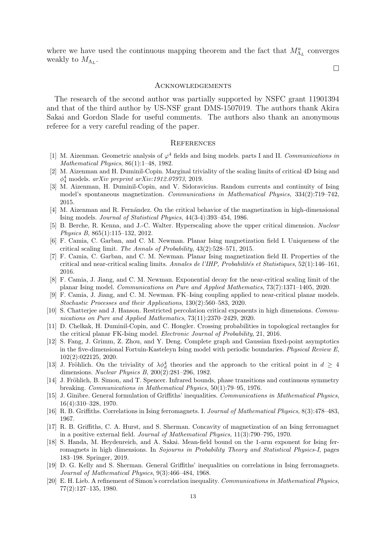where we have used the continuous mapping theorem and the fact that  $M^a_{\Lambda_L}$  converges weakly to  $M_{\Lambda_L}$ .

 $\Box$ 

## **ACKNOWLEDGEMENTS**

The research of the second author was partially supported by NSFC grant 11901394 and that of the third author by US-NSF grant DMS-1507019. The authors thank Akira Sakai and Gordon Slade for useful comments. The authors also thank an anonymous referee for a very careful reading of the paper.

#### **REFERENCES**

- [1] M. Aizenman. Geometric analysis of  $\varphi^4$  fields and Ising models. parts I and II. Communications in Mathematical Physics, 86(1):1–48, 1982.
- [2] M. Aizenman and H. Duminil-Copin. Marginal triviality of the scaling limits of critical 4D Ising and  $\phi_4^4$  models. arXiv preprint arXiv:1912.07973, 2019.
- [3] M. Aizenman, H. Duminil-Copin, and V. Sidoravicius. Random currents and continuity of Ising model's spontaneous magnetization. Communications in Mathematical Physics, 334(2):719–742, 2015.
- [4] M. Aizenman and R. Fernández. On the critical behavior of the magnetization in high-dimensional Ising models. Journal of Statistical Physics, 44(3-4):393–454, 1986.
- [5] B. Berche, R. Kenna, and J.-C. Walter. Hyperscaling above the upper critical dimension. Nuclear Physics B, 865(1):115–132, 2012.
- [6] F. Camia, C. Garban, and C. M. Newman. Planar Ising magnetization field I. Uniqueness of the critical scaling limit. The Annals of Probability, 43(2):528–571, 2015.
- [7] F. Camia, C. Garban, and C. M. Newman. Planar Ising magnetization field II. Properties of the critical and near-critical scaling limits. Annales de l'IHP, Probabilités et Statistiques, 52(1):146–161, 2016.
- [8] F. Camia, J. Jiang, and C. M. Newman. Exponential decay for the near-critical scaling limit of the planar Ising model. Communications on Pure and Applied Mathematics, 73(7):1371–1405, 2020.
- [9] F. Camia, J. Jiang, and C. M. Newman. FK–Ising coupling applied to near-critical planar models. Stochastic Processes and their Applications, 130(2):560–583, 2020.
- [10] S. Chatterjee and J. Hanson. Restricted percolation critical exponents in high dimensions. Communications on Pure and Applied Mathematics, 73(11):2370–2429, 2020.
- [11] D. Chelkak, H. Duminil-Copin, and C. Hongler. Crossing probabilities in topological rectangles for the critical planar FK-Ising model. Electronic Journal of Probability, 21, 2016.
- [12] S. Fang, J. Grimm, Z. Zhou, and Y. Deng. Complete graph and Gaussian fixed-point asymptotics in the five-dimensional Fortuin-Kasteleyn Ising model with periodic boundaries. Physical Review E, 102(2):022125, 2020.
- [13] J. Fröhlich. On the triviality of  $\lambda \phi_d^4$  theories and the approach to the critical point in  $d \geq 4$ dimensions. Nuclear Physics B, 200(2):281–296, 1982.
- [14] J. Fröhlich, B. Simon, and T. Spencer. Infrared bounds, phase transitions and continuous symmetry breaking. Communications in Mathematical Physics, 50(1):79–95, 1976.
- [15] J. Ginibre. General formulation of Griffiths' inequalities. Communications in Mathematical Physics, 16(4):310–328, 1970.
- [16] R. B. Griffiths. Correlations in Ising ferromagnets. I. Journal of Mathematical Physics, 8(3):478–483, 1967.
- [17] R. B. Griffiths, C. A. Hurst, and S. Sherman. Concavity of magnetization of an Ising ferromagnet in a positive external field. Journal of Mathematical Physics, 11(3):790–795, 1970.
- [18] S. Handa, M. Heydenreich, and A. Sakai. Mean-field bound on the 1-arm exponent for Ising ferromagnets in high dimensions. In Sojourns in Probability Theory and Statistical Physics-I, pages 183–198. Springer, 2019.
- [19] D. G. Kelly and S. Sherman. General Griffiths' inequalities on correlations in Ising ferromagnets. Journal of Mathematical Physics, 9(3):466–484, 1968.
- [20] E. H. Lieb. A refinement of Simon's correlation inequality. Communications in Mathematical Physics, 77(2):127–135, 1980.